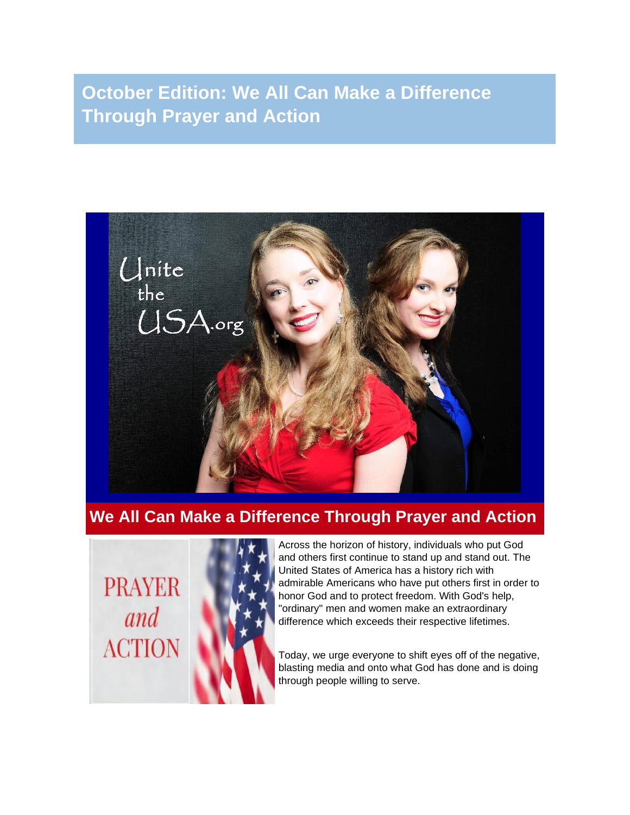**October Edition: We All Can Make a Difference Through Prayer and Action**



# **We All Can Make a Difference Through Prayer and Action**

**PRAYER** and **ACTION** 



Across the horizon of history, individuals who put God and others first continue to stand up and stand out. The United States of America has a history rich with admirable Americans who have put others first in order to honor God and to protect freedom. With God's help, "ordinary" men and women make an extraordinary difference which exceeds their respective lifetimes.

Today, we urge everyone to shift eyes off of the negative, blasting media and onto what God has done and is doing through people willing to serve.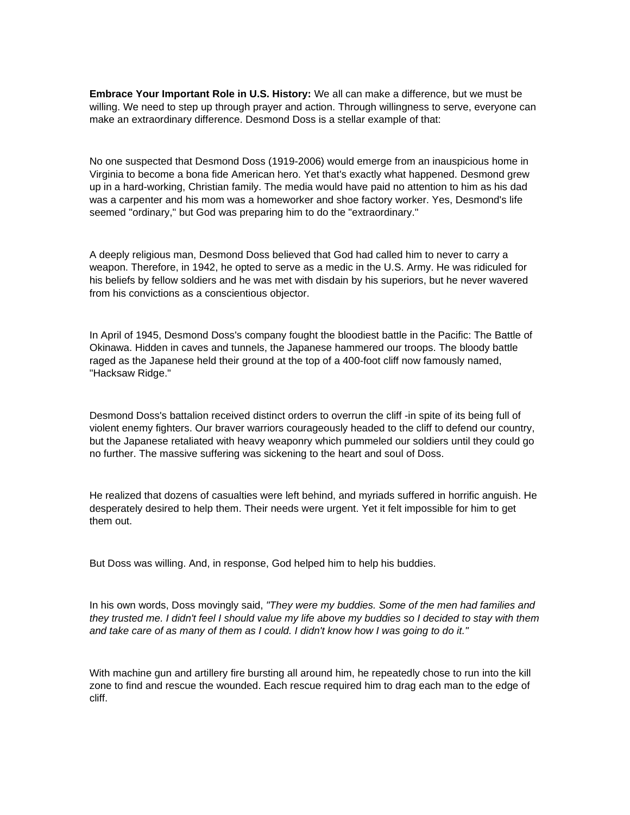**Embrace Your Important Role in U.S. History:** We all can make a difference, but we must be willing. We need to step up through prayer and action. Through willingness to serve, everyone can make an extraordinary difference. Desmond Doss is a stellar example of that:

No one suspected that Desmond Doss (1919-2006) would emerge from an inauspicious home in Virginia to become a bona fide American hero. Yet that's exactly what happened. Desmond grew up in a hard-working, Christian family. The media would have paid no attention to him as his dad was a carpenter and his mom was a homeworker and shoe factory worker. Yes, Desmond's life seemed "ordinary," but God was preparing him to do the "extraordinary."

A deeply religious man, Desmond Doss believed that God had called him to never to carry a weapon. Therefore, in 1942, he opted to serve as a medic in the U.S. Army. He was ridiculed for his beliefs by fellow soldiers and he was met with disdain by his superiors, but he never wavered from his convictions as a conscientious objector.

In April of 1945, Desmond Doss's company fought the bloodiest battle in the Pacific: The Battle of Okinawa. Hidden in caves and tunnels, the Japanese hammered our troops. The bloody battle raged as the Japanese held their ground at the top of a 400-foot cliff now famously named, "Hacksaw Ridge."

Desmond Doss's battalion received distinct orders to overrun the cliff -in spite of its being full of violent enemy fighters. Our braver warriors courageously headed to the cliff to defend our country, but the Japanese retaliated with heavy weaponry which pummeled our soldiers until they could go no further. The massive suffering was sickening to the heart and soul of Doss.

He realized that dozens of casualties were left behind, and myriads suffered in horrific anguish. He desperately desired to help them. Their needs were urgent. Yet it felt impossible for him to get them out.

But Doss was willing. And, in response, God helped him to help his buddies.

In his own words, Doss movingly said, *"They were my buddies. Some of the men had families and* they trusted me. I didn't feel I should value my life above my buddies so I decided to stay with them and take care of as many of them as I could. I didn't know how I was going to do it."

With machine gun and artillery fire bursting all around him, he repeatedly chose to run into the kill zone to find and rescue the wounded. Each rescue required him to drag each man to the edge of cliff.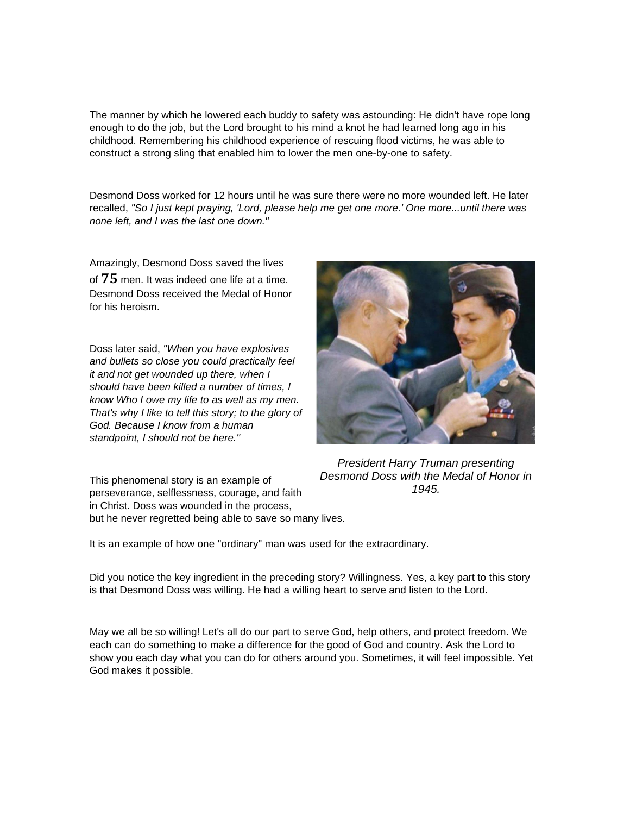The manner by which he lowered each buddy to safety was astounding: He didn't have rope long enough to do the job, but the Lord brought to his mind a knot he had learned long ago in his childhood. Remembering his childhood experience of rescuing flood victims, he was able to construct a strong sling that enabled him to lower the men one-by-one to safety.

Desmond Doss worked for 12 hours until he was sure there were no more wounded left. He later recalled, *"So I just kept praying, 'Lord, please help me get one more.' One more...until there was none left, and I was the last one down."*

Amazingly, Desmond Doss saved the lives of **75** men. It was indeed one life at a time. Desmond Doss received the Medal of Honor for his heroism.

Doss later said, *"When you have explosives and bullets so close you could practically feel it and not get wounded up there, when I should have been killed a number of times, I know Who I owe my life to as well as my men. That's why I like to tell this story; to the glory of God. Because I know from a human standpoint, I should not be here."*



*President Harry Truman presenting Desmond Doss with the Medal of Honor in 1945.*

This phenomenal story is an example of perseverance, selflessness, courage, and faith in Christ. Doss was wounded in the process, but he never regretted being able to save so many lives.

It is an example of how one "ordinary" man was used for the extraordinary.

Did you notice the key ingredient in the preceding story? Willingness. Yes, a key part to this story is that Desmond Doss was willing. He had a willing heart to serve and listen to the Lord.

May we all be so willing! Let's all do our part to serve God, help others, and protect freedom. We each can do something to make a difference for the good of God and country. Ask the Lord to show you each day what you can do for others around you. Sometimes, it will feel impossible. Yet God makes it possible.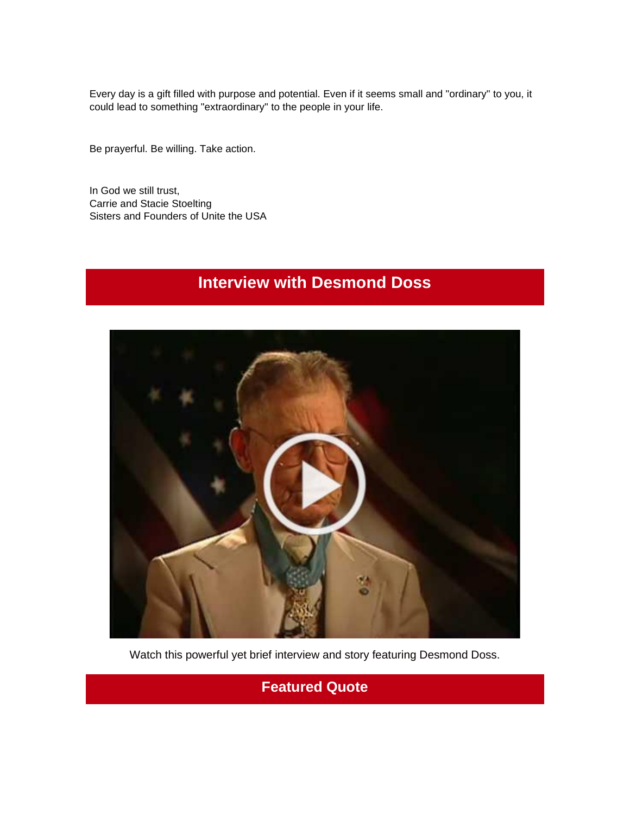Every day is a gift filled with purpose and potential. Even if it seems small and "ordinary" to you, it could lead to something "extraordinary" to the people in your life.

Be prayerful. Be willing. Take action.

In God we still trust, Carrie and Stacie Stoelting Sisters and Founders of Unite the USA

# **Interview with Desmond Doss**



Watch this powerful yet brief interview and story featuring Desmond Doss.

### **Featured Quote**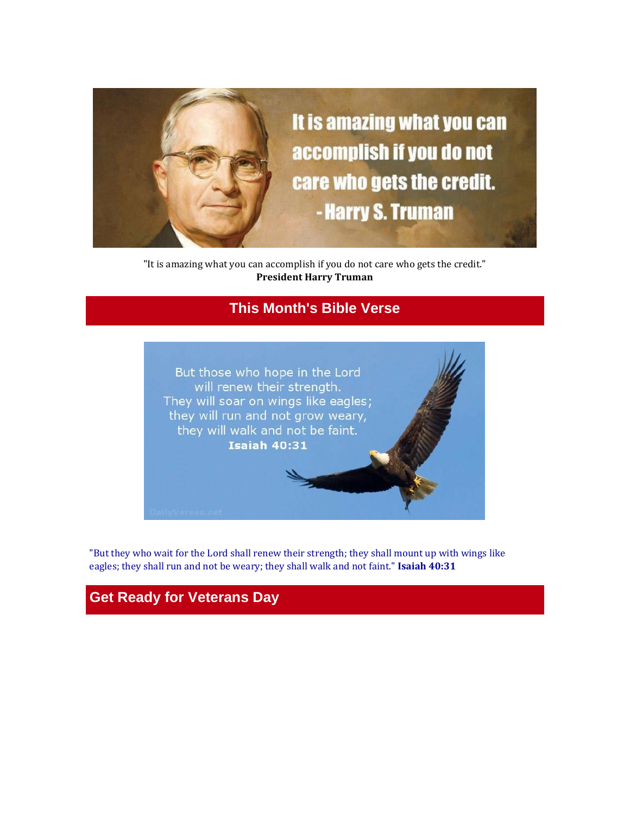

"It is amazing what you can accomplish if you do not care who gets the credit." **President Harry Truman**

# **This Month's Bible Verse**



"But they who wait for the Lord shall renew their strength; they shall mount up with wings like eagles; they shall run and not be weary; they shall walk and not faint." **Isaiah 40:31**

# **Get Ready for Veterans Day**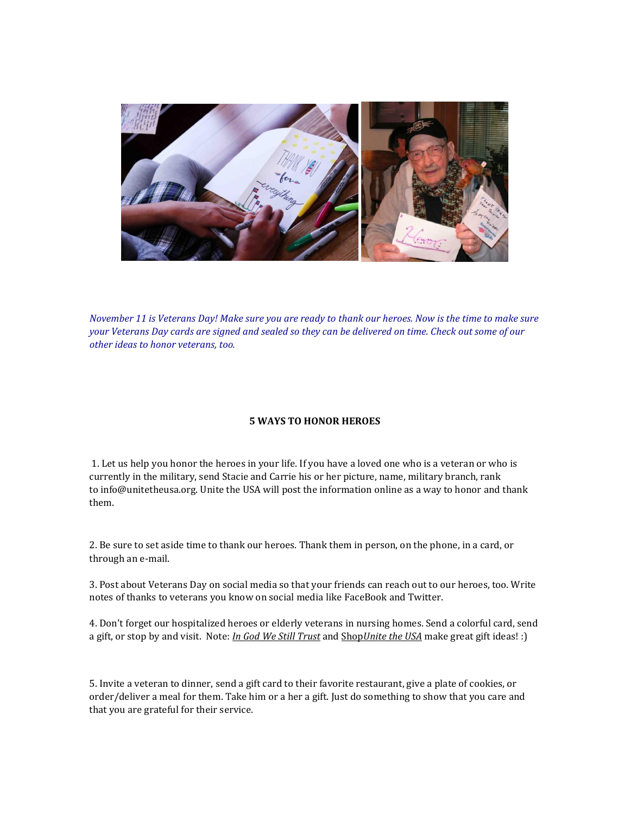

November 11 is Veterans Day! Make sure you are ready to thank our heroes. Now is the time to make sure your Veterans Day cards are signed and sealed so they can be delivered on time. Check out some of our *other ideas to honor veterans, too.*

#### **5 WAYS TO HONOR HEROES**

1. Let us help you honor the heroes in your life. If you have a loved one who is a veteran or who is currently in the military, send Stacie and Carrie his or her picture, name, military branch, rank to info@unitetheusa.org. Unite the USA will post the information online as a way to honor and thank them.

2. Be sure to set aside time to thank our heroes. Thank them in person, on the phone, in a card, or through an e-mail.

3. Post about Veterans Day on social media so that your friends can reach out to our heroes, too. Write notes of thanks to veterans you know on social media like FaceBook and Twitter.

4. Don't forget our hospitalized heroes or elderly veterans in nursing homes. Send a colorful card, send a gift, or stop by and visit. Note: *In God We Still [Trust](http://unitetheusa.org/id56.html)* and [Shop](http://unitetheusa.org/id56.html)*[Unite](http://r20.rs6.net/tn.jsp?t=rywi8s4ab.0.0.4h4hhncab.0&id=preview&r=3&p=http%3A%2F%2Funitetheusa.org%2Fid56.html) the USA* make great gift ideas! :)

5. Invite a veteran to dinner, send a gift card to their favorite restaurant, give a plate of cookies, or order/deliver a meal for them. Take him or a her a gift. Just do something to show that you care and that you are grateful for their service.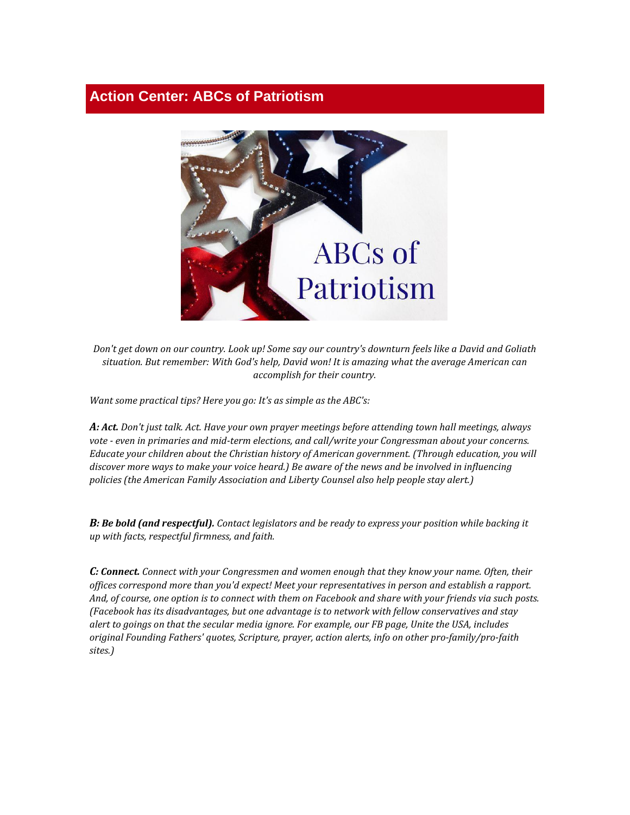### **Action Center: ABCs of Patriotism**



Don't get down on our country. Look up! Some say our country's downturn feels like a David and Goliath *situation. But remember: With God's help, David won! It is amazing what the average American can accomplish for their country.*

*Want some practical tips? Here you go: It's as simple as the ABC's:*

A: Act. Don't just talk. Act. Have your own prayer meetings before attending town hall meetings, always *vote - even in primaries and mid-term elections, and call/write your Congressman about your concerns. Educate your children about the Christian history of American government. (Through education, you will discover more ways to make your voice heard.) Be aware of the news and be involved in influencing policies (the American Family Association and Liberty Counsel also help people stay alert.)*

B: Be bold (and respectful). Contact legislators and be ready to express your position while backing it *up with facts, respectful firmness, and faith.*

*C: Connect. Connect with your Congressmen and women enough that they know your name. Often, their offices correspond more than you'd expect! Meet your representatives in person and establish a rapport.* And, of course, one option is to connect with them on Facebook and share with your friends via such posts. *(Facebook has its disadvantages, but one advantage is to network with fellow conservatives and stay* alert to goings on that the secular media ignore. For example, our FB page, Unite the USA, includes *original Founding Fathers' quotes, Scripture, prayer, action alerts, info on other pro-family/pro-faith sites.)*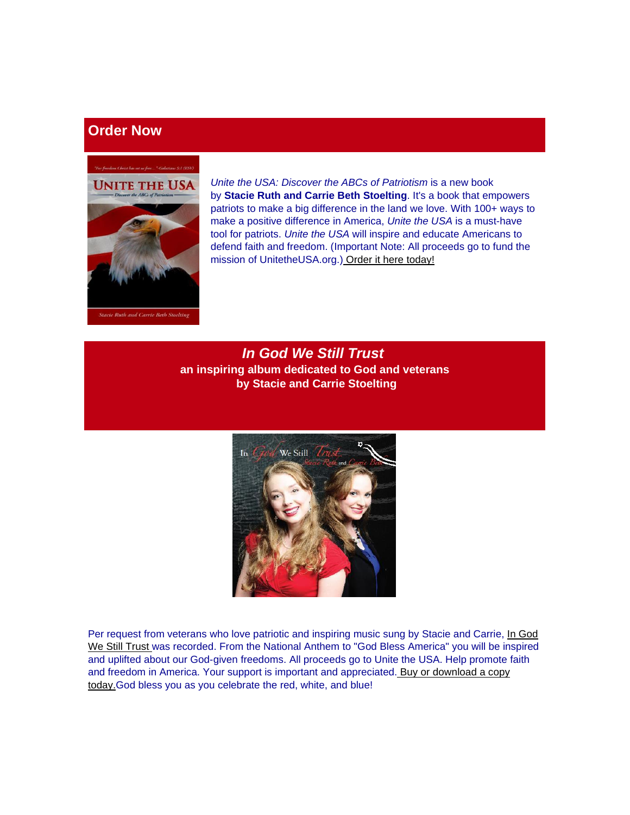# **Order Now**



*Unite the USA: Discover the ABCs of Patriotism* is a new book by **Stacie Ruth and Carrie Beth Stoelting**. It's a book that empowers patriots to make a big difference in the land we love. With 100+ ways to make a positive difference in America, *Unite the USA* is a must-have tool for patriots. *Unite the USA* will inspire and educate Americans to defend faith and freedom. (Important Note: All proceeds go to fund the mission of UnitetheUSA.org.[\)](http://unitetheusa.org/id56.html) [Order it here today!](http://r20.rs6.net/tn.jsp?t=rywi8s4ab.0.0.4h4hhncab.0&id=preview&r=3&p=http%3A%2F%2Funitetheusa.org%2Fid56.html)

*In God We Still Trust* **an inspiring album dedicated to God and veterans by Stacie and Carrie Stoelting**



Per request from veterans who love patriotic and inspiring music sung by Stacie and Carrie, In God [We Still Trust](http://unitetheusa.org/id56.html) was recorded. From the National Anthem to "God Bless America" you will be inspired and uplifted about our God-given freedoms. All proceeds go to Unite the USA. Help promote faith and freedom in America[.](http://unitetheusa.org/id56.html) Your support is important and appreciated. Buy or [download](http://r20.rs6.net/tn.jsp?t=rywi8s4ab.0.0.4h4hhncab.0&id=preview&r=3&p=http%3A%2F%2Funitetheusa.org%2Fid56.html) a copy [today.G](http://r20.rs6.net/tn.jsp?t=rywi8s4ab.0.0.4h4hhncab.0&id=preview&r=3&p=http%3A%2F%2Funitetheusa.org%2Fid56.html)od bless you as you celebrate the red, white, and blue!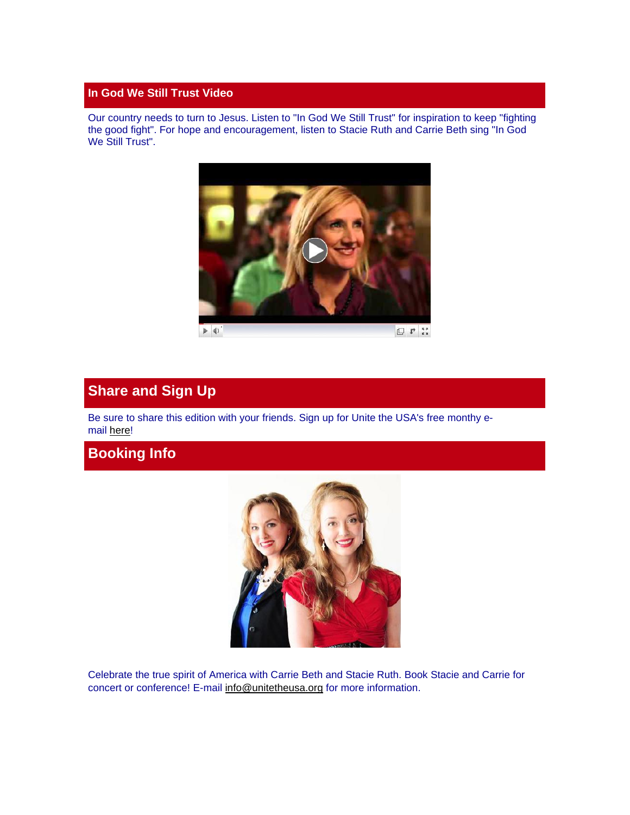#### **In God We Still Trust Video**

Our country needs to turn to Jesus. Listen to "In God We Still Trust" for inspiration to keep "fighting the good fight". For hope and encouragement, listen to Stacie Ruth and Carrie Beth sing "In God We Still Trust".



# **Share and Sign Up**

Be sure to share this edition with your friends. Sign up for Unite the USA's free monthy email [here!](http://unitetheusa.org/id2.html)

# **Booking Info**



Celebrate the true spirit of America with Carrie Beth and Stacie Ruth. Book Stacie and Carrie for concert or conference! E-mail [info@unitetheusa.org](mailto:info@unitetheusa.org) for more information.